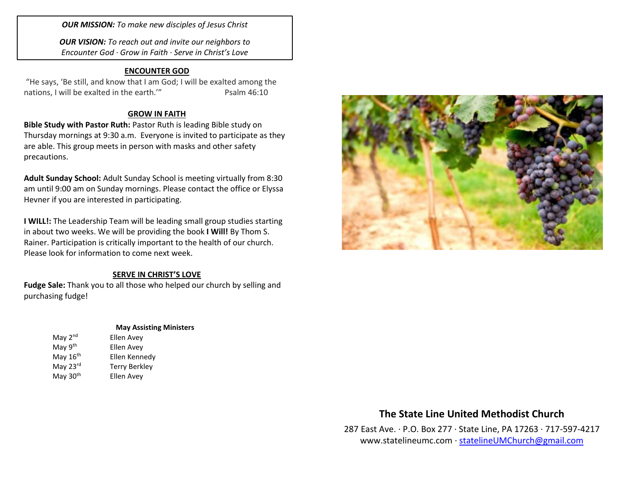*OUR MISSION: To make new disciples of Jesus Christ*

*OUR VISION: To reach out and invite our neighbors to Encounter God · Grow in Faith · Serve in Christ's Love*

#### **ENCOUNTER GOD**

"He says, 'Be still, and know that I am God; I will be exalted among the nations, I will be exalted in the earth." Psalm 46:10

### **GROW IN FAITH**

**Bible Study with Pastor Ruth:** Pastor Ruth is leading Bible study on Thursday mornings at 9:30 a.m. Everyone is invited to participate as they are able. This group meets in person with masks and other safety precautions.

**Adult Sunday School:** Adult Sunday School is meeting virtually from 8:30 am until 9:00 am on Sunday mornings. Please contact the office or Elyssa Hevner if you are interested in participating.

**I WILL!:** The Leadership Team will be leading small group studies starting in about two weeks. We will be providing the book **I Will!** By Thom S. Rainer. Participation is critically important to the health of our church. Please look for information to come next week.

### **SERVE IN CHRIST'S LOVE**

**Fudge Sale:** Thank you to all those who helped our church by selling and purchasing fudge!

### **May Assisting Ministers**

| May $2^{nd}$         | Ellen Avey           |
|----------------------|----------------------|
| May 9th              | Ellen Avey           |
| May 16 <sup>th</sup> | Ellen Kennedy        |
| May 23rd             | <b>Terry Berkley</b> |
| May 30 <sup>th</sup> | Ellen Avey           |



# **The State Line United Methodist Church**

287 East Ave. · P.O. Box 277 · State Line, PA 17263 · 717-597-4217 [www.statelineumc.com](http://www.statelineumc.com/) · [statelineUMChurch@gmail.com](mailto:statelineUMChurch@gmail.com)